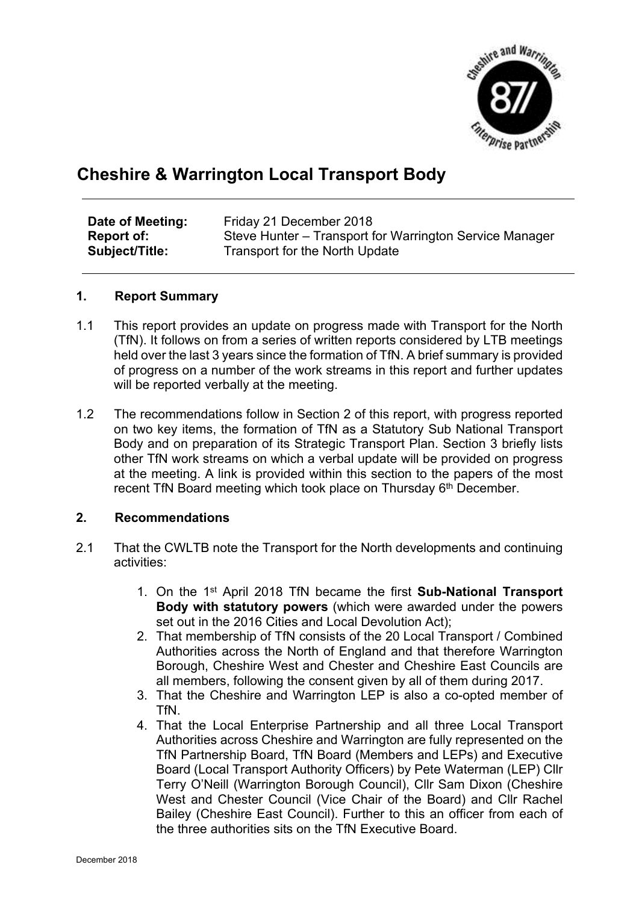

## **Cheshire & Warrington Local Transport Body**

| Date of Meeting:  | Friday 21 December 2018                                 |
|-------------------|---------------------------------------------------------|
| <b>Report of:</b> | Steve Hunter – Transport for Warrington Service Manager |
| Subject/Title:    | Transport for the North Update                          |

## **1. Report Summary**

- 1.1 This report provides an update on progress made with Transport for the North (TfN). It follows on from a series of written reports considered by LTB meetings held over the last 3 years since the formation of TfN. A brief summary is provided of progress on a number of the work streams in this report and further updates will be reported verbally at the meeting.
- 1.2 The recommendations follow in Section 2 of this report, with progress reported on two key items, the formation of TfN as a Statutory Sub National Transport Body and on preparation of its Strategic Transport Plan. Section 3 briefly lists other TfN work streams on which a verbal update will be provided on progress at the meeting. A link is provided within this section to the papers of the most recent TfN Board meeting which took place on Thursday 6<sup>th</sup> December.

## **2. Recommendations**

- 2.1 That the CWLTB note the Transport for the North developments and continuing activities:
	- 1. On the 1 st April 2018 TfN became the first **Sub-National Transport Body with statutory powers** (which were awarded under the powers set out in the 2016 Cities and Local Devolution Act);
	- 2. That membership of TfN consists of the 20 Local Transport / Combined Authorities across the North of England and that therefore Warrington Borough, Cheshire West and Chester and Cheshire East Councils are all members, following the consent given by all of them during 2017.
	- 3. That the Cheshire and Warrington LEP is also a co-opted member of TfN.
	- 4. That the Local Enterprise Partnership and all three Local Transport Authorities across Cheshire and Warrington are fully represented on the TfN Partnership Board, TfN Board (Members and LEPs) and Executive Board (Local Transport Authority Officers) by Pete Waterman (LEP) Cllr Terry O'Neill (Warrington Borough Council), Cllr Sam Dixon (Cheshire West and Chester Council (Vice Chair of the Board) and Cllr Rachel Bailey (Cheshire East Council). Further to this an officer from each of the three authorities sits on the TfN Executive Board.